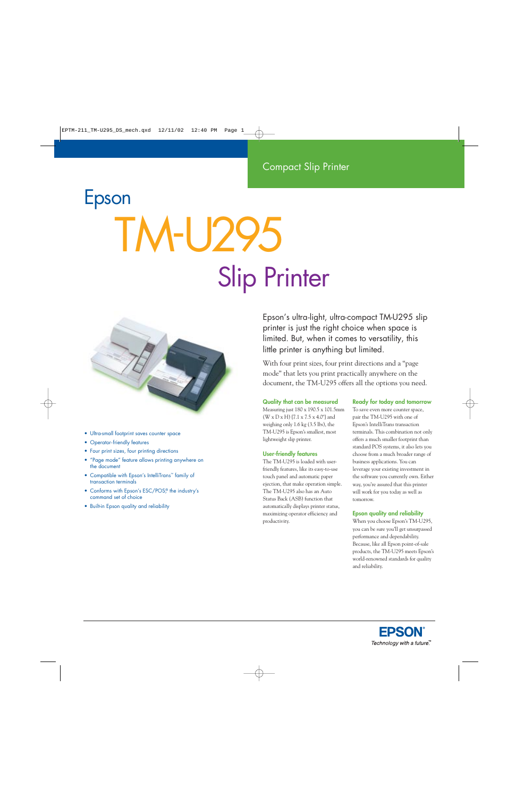# Epson **TM-U29** Slip Printer



- Ultra-small footprint saves counter space
- Operator-friendly features
- Four print sizes, four printing directions
- "Page mode" feature allows printing anywhere on the document
- Compatible with Epson's IntelliTrans™ family of transaction terminals
- Conforms with Epson's ESC/POS,<sup>®</sup> the industry's command set of choice
- Built-in Epson quality and reliability

Epson's ultra-light, ultra-compact TM-U295 slip printer is just the right choice when space is limited. But, when it comes to versatility, this little printer is anything but limited.

With four print sizes, four print directions and a "page mode" that lets you print practically anywhere on the document, the TM-U295 offers all the options you need.

#### **Quality that can be measured**

Measuring just 180 x 190.5 x 101.5mm (W x D x H) {7.1 x 7.5 x 4.0"} and weighing only 1.6 kg (3.5 lbs), the TM-U295 is Epson's smallest, most lightweight slip printer.

#### **User-friendly features**

The TM-U295 is loaded with userfriendly features, like its easy-to-use touch panel and automatic paper ejection, that make operation simple. The TM-U295 also has an Auto Status Back (ASB) function that automatically displays printer status, maximizing operator efficiency and productivity.

#### **Ready for today and tomorrow**

To save even more counter space, pair the TM-U295 with one of Epson's IntelliTrans transaction terminals. This combination not only offers a much smaller footprint than standard POS systems, it also lets you choose from a much broader range of business applications. You can leverage your existing investment in the software you currently own. Either way, you're assured that this printer will work for you today as well as tomorrow.

#### **Epson quality and reliability**

When you choose Epson's TM-U295, you can be sure you'll get unsurpassed performance and dependability. Because, like all Epson point-of-sale products, the TM-U295 meets Epson's world-renowned standards for quality and reliability.